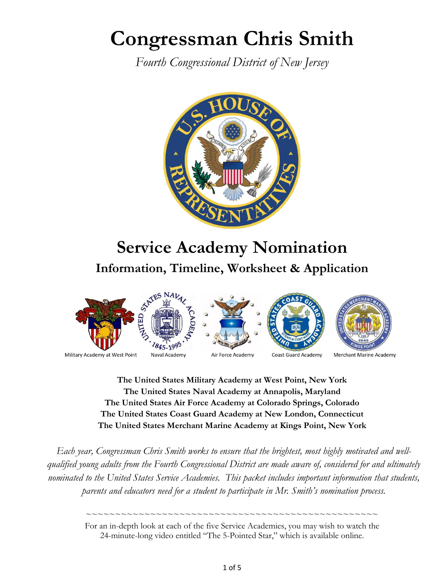# **Congressman Chris Smith**

*Fourth Congressional District of New Jersey*



## **Service Academy Nomination Information, Timeline, Worksheet & Application**



**The United States Military Academy at West Point, New York The United States Naval Academy at Annapolis, Maryland The United States Air Force Academy at Colorado Springs, Colorado The United States Coast Guard Academy at New London, Connecticut The United States Merchant Marine Academy at Kings Point, New York**

*Each year, Congressman Chris Smith works to ensure that the brightest, most highly motivated and wellqualified young adults from the Fourth Congressional District are made aware of, considered for and ultimately nominated to the United States Service Academies. This packet includes important information that students, parents and educators need for a student to participate in Mr. Smith's nomination process.*

> For an in-depth look at each of the five Service Academies, you may wish to watch the 24-minute-long video entitled "The 5-Pointed Star," which is available online.

> ~~~~~~~~~~~~~~~~~~~~~~~~~~~~~~~~~~~~~~~~~~~~~~~~~~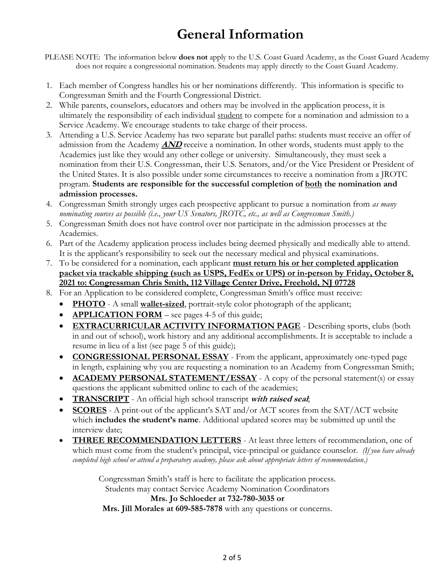## **General Information**

PLEASE NOTE: The information below **does not** apply to the U.S. Coast Guard Academy, as the Coast Guard Academy does not require a congressional nomination. Students may apply directly to the Coast Guard Academy.

- 1. Each member of Congress handles his or her nominations differently. This information is specific to Congressman Smith and the Fourth Congressional District.
- 2. While parents, counselors, educators and others may be involved in the application process, it is ultimately the responsibility of each individual student to compete for a nomination and admission to a Service Academy. We encourage students to take charge of their process.
- 3. Attending a U.S. Service Academy has two separate but parallel paths: students must receive an offer of admission from the Academy **AND** receive a nomination. In other words, students must apply to the Academies just like they would any other college or university. Simultaneously, they must seek a nomination from their U.S. Congressman, their U.S. Senators, and/or the Vice President or President of the United States. It is also possible under some circumstances to receive a nomination from a JROTC program. **Students are responsible for the successful completion of both the nomination and admission processes.**
- 4. Congressman Smith strongly urges each prospective applicant to pursue a nomination from *as many nominating sources as possible (i.e., your US Senators, JROTC, etc., as well as Congressman Smith.)*
- 5. Congressman Smith does not have control over nor participate in the admission processes at the Academies.
- 6. Part of the Academy application process includes being deemed physically and medically able to attend. It is the applicant's responsibility to seek out the necessary medical and physical examinations.
- 7. To be considered for a nomination, each applicant **must return his or her completed application packet via trackable shipping (such as USPS, FedEx or UPS) or in-person by Friday, October 8, 2021 to: Congressman Chris Smith, 112 Village Center Drive, Freehold, NJ 07728**
- 8. For an Application to be considered complete, Congressman Smith's office must receive:
	- **PHOTO** A small **wallet-sized**, portrait-style color photograph of the applicant;
	- **APPLICATION FORM** see pages 4-5 of this guide;
	- **EXTRACURRICULAR ACTIVITY INFORMATION PAGE** Describing sports, clubs (both in and out of school), work history and any additional accomplishments. It is acceptable to include a resume in lieu of a list (see page 5 of this guide);
	- **CONGRESSIONAL PERSONAL ESSAY** From the applicant, approximately one-typed page in length, explaining why you are requesting a nomination to an Academy from Congressman Smith;
	- **ACADEMY PERSONAL STATEMENT/ESSAY** A copy of the personal statement(s) or essay questions the applicant submitted online to each of the academies;
	- **TRANSCRIPT** An official high school transcript **with raised seal**;
	- **SCORES** A print-out of the applicant's SAT and/or ACT scores from the SAT/ACT website which **includes the student's name**. Additional updated scores may be submitted up until the interview date;
	- **THREE RECOMMENDATION LETTERS** At least three letters of recommendation, one of which must come from the student's principal, vice-principal or guidance counselor. *(If you have already completed high school or attend a preparatory academy, please ask about appropriate letters of recommendation.)*

Congressman Smith's staff is here to facilitate the application process. Students may contact Service Academy Nomination Coordinators **Mrs. Jo Schloeder at 732-780-3035 or Mrs. Jill Morales at 609-585-7878** with any questions or concerns.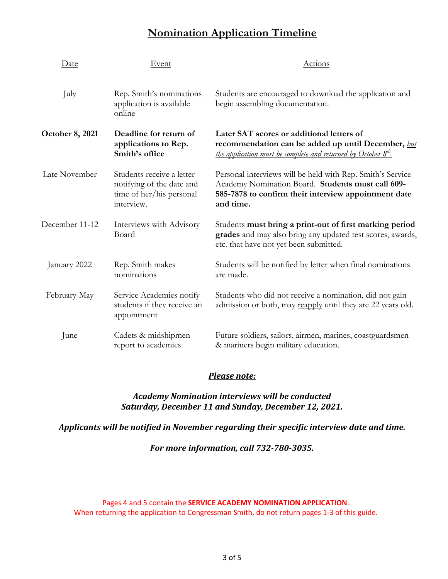### **Nomination Application Timeline**

| Date                   | Event                                                                                            | Actions                                                                                                                                                                              |
|------------------------|--------------------------------------------------------------------------------------------------|--------------------------------------------------------------------------------------------------------------------------------------------------------------------------------------|
| July                   | Rep. Smith's nominations<br>application is available<br>online                                   | Students are encouraged to download the application and<br>begin assembling documentation.                                                                                           |
| <b>October 8, 2021</b> | Deadline for return of<br>applications to Rep.<br>Smith's office                                 | Later SAT scores or additional letters of<br>recommendation can be added up until December, but<br>the application must be complete and returned by October 8 <sup>th</sup> .        |
| Late November          | Students receive a letter<br>notifying of the date and<br>time of her/his personal<br>interview. | Personal interviews will be held with Rep. Smith's Service<br>Academy Nomination Board. Students must call 609-<br>585-7878 to confirm their interview appointment date<br>and time. |
| December 11-12         | Interviews with Advisory<br>Board                                                                | Students must bring a print-out of first marking period<br>grades and may also bring any updated test scores, awards,<br>etc. that have not yet been submitted.                      |
| January 2022           | Rep. Smith makes<br>nominations                                                                  | Students will be notified by letter when final nominations<br>are made.                                                                                                              |
| February-May           | Service Academies notify<br>students if they receive an<br>appointment                           | Students who did not receive a nomination, did not gain<br>admission or both, may reapply until they are 22 years old.                                                               |
| June                   | Cadets & midshipmen<br>report to academies                                                       | Future soldiers, sailors, airmen, marines, coastguardsmen<br>& mariners begin military education.                                                                                    |

#### *Please note:*

#### *Academy Nomination interviews will be conducted Saturday, December 11 and Sunday, December 12, 2021.*

#### *Applicants will be notified in November regarding their specific interview date and time.*

*For more information, call 732-780-3035.*

Pages 4 and 5 contain the **SERVICE ACADEMY NOMINATION APPLICATION**. When returning the application to Congressman Smith, do not return pages 1-3 of this guide.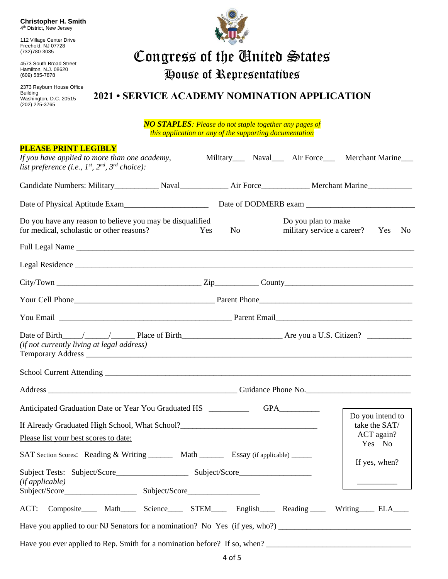**Christopher H. Smith** 4<sup>th</sup> District, New Jersey

112 Village Center Drive Freehold, NJ 07728 (732)780-3035

4573 South Broad Street Hamilton, N.J. 08620 (609) 585-7878

2373 Rayburn House Office Building Washington, D.C. 20515 (202) 225-3765



# Congress of the United States

House of Representatives

### **2021 • SERVICE ACADEMY NOMINATION APPLICATION**

*NO STAPLES: Please do not staple together any pages of this application or any of the supporting documentation*

| <b>PLEASE PRINT LEGIBLY</b><br>If you have applied to more than one academy,<br>list preference (i.e., $I^{st}$ , $2^{nd}$ , $3^{rd}$ choice):                                                                                                                                                           |    |                                                   | Military Naval Air Force Merchant Marine |  |
|----------------------------------------------------------------------------------------------------------------------------------------------------------------------------------------------------------------------------------------------------------------------------------------------------------|----|---------------------------------------------------|------------------------------------------|--|
| Candidate Numbers: Military Naval Naval Air Force Merchant Marine                                                                                                                                                                                                                                        |    |                                                   |                                          |  |
|                                                                                                                                                                                                                                                                                                          |    |                                                   |                                          |  |
| Do you have any reason to believe you may be disqualified<br>for medical, scholastic or other reasons?<br>Yes                                                                                                                                                                                            | No | Do you plan to make<br>military service a career? | No<br>Yes                                |  |
|                                                                                                                                                                                                                                                                                                          |    |                                                   |                                          |  |
|                                                                                                                                                                                                                                                                                                          |    |                                                   |                                          |  |
| $City/ Town$ $\_\_\_\_\_\_$ $\_\_\_\_$ $\_\_\_\_$ $\_\_\_\_$ $\_\_\_\_$ $\_\_\_\_$ $\_\_\_\_$ $\_\_\_\_$ $\_\_\_\_$ $\_\_\_\_$ $\_\_\_\_$ $\_\_\_\_$ $\_\_\_\_$ $\_\_\_\_$ $\_\_\_$ $\_\_\_$ $\_\_\_$ $\_\_\_$ $\_\_\_$ $\_\_\_$ $\_\_$ $\_\_\_$ $\_\_$ $\_\_$ $\_\_$ $\_\_$ $\_\_$ $\_\_$ $\_\_$ $\_\_$ |    |                                                   |                                          |  |
|                                                                                                                                                                                                                                                                                                          |    |                                                   |                                          |  |
|                                                                                                                                                                                                                                                                                                          |    |                                                   |                                          |  |
| (if not currently living at legal address)                                                                                                                                                                                                                                                               |    |                                                   |                                          |  |
|                                                                                                                                                                                                                                                                                                          |    |                                                   |                                          |  |
|                                                                                                                                                                                                                                                                                                          |    |                                                   |                                          |  |
|                                                                                                                                                                                                                                                                                                          |    |                                                   | Do you intend to                         |  |
| If Already Graduated High School, What School?__________________________________                                                                                                                                                                                                                         |    |                                                   | take the SAT/                            |  |
| Please list your best scores to date:                                                                                                                                                                                                                                                                    |    |                                                   | ACT again?<br>Yes No                     |  |
| SAT Section Scores: Reading & Writing ________ Math _________ Essay (if applicable) ______                                                                                                                                                                                                               |    |                                                   | If yes, when?                            |  |
| (ifappliedble)                                                                                                                                                                                                                                                                                           |    |                                                   |                                          |  |
|                                                                                                                                                                                                                                                                                                          |    |                                                   |                                          |  |
| Composite______ Math_______ Science_______ STEM______ English______ Reading_______ Writing______ ELA_____<br>ACT:                                                                                                                                                                                        |    |                                                   |                                          |  |
|                                                                                                                                                                                                                                                                                                          |    |                                                   |                                          |  |
| Have you ever applied to Rep. Smith for a nomination before? If so, when?                                                                                                                                                                                                                                |    |                                                   |                                          |  |